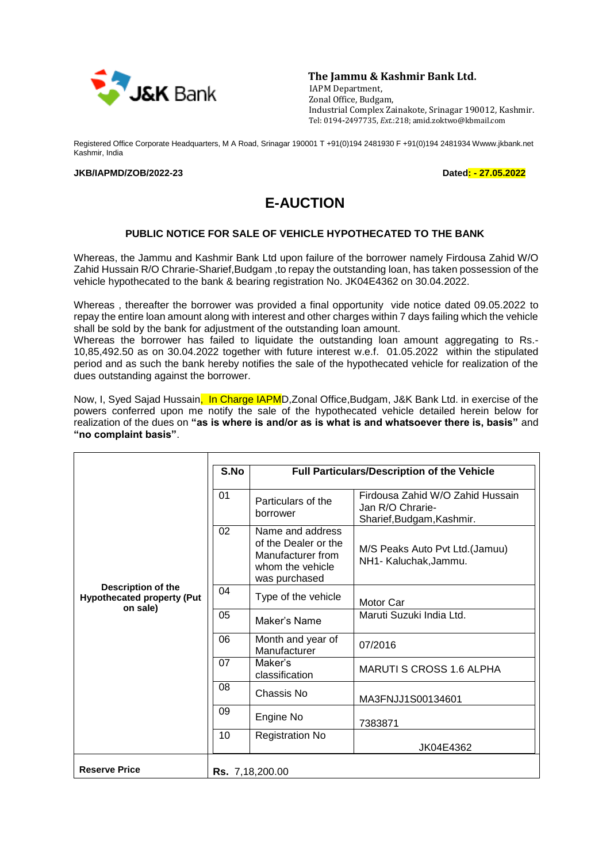

**The Jammu & Kashmir Bank Ltd.**

 IAPM Department, Zonal Office, Budgam, Industrial Complex Zainakote, Srinagar 190012, Kashmir. Tel: 0194**-**2497735, *Ext*.:218; amid.zoktwo@kbmail.com

Registered Office Corporate Headquarters, M A Road, Srinagar 190001 T +91(0)194 2481930 F +91(0)194 2481934 Wwww.jkbank.net Kashmir, India

## **JKB/IAPMD/ZOB/2022-23 Dated: - 27.05.2022**

## **E-AUCTION**

## **PUBLIC NOTICE FOR SALE OF VEHICLE HYPOTHECATED TO THE BANK**

Whereas, the Jammu and Kashmir Bank Ltd upon failure of the borrower namely Firdousa Zahid W/O Zahid Hussain R/O Chrarie-Sharief,Budgam ,to repay the outstanding loan, has taken possession of the vehicle hypothecated to the bank & bearing registration No. JK04E4362 on 30.04.2022.

Whereas , thereafter the borrower was provided a final opportunity vide notice dated 09.05.2022 to repay the entire loan amount along with interest and other charges within 7 days failing which the vehicle shall be sold by the bank for adjustment of the outstanding loan amount.

Whereas the borrower has failed to liquidate the outstanding loan amount aggregating to Rs.- 10,85,492.50 as on 30.04.2022 together with future interest w.e.f. 01.05.2022 within the stipulated period and as such the bank hereby notifies the sale of the hypothecated vehicle for realization of the dues outstanding against the borrower.

Now, I, Syed Sajad Hussain. In Charge IAPMD, Zonal Office, Budgam, J&K Bank Ltd. in exercise of the powers conferred upon me notify the sale of the hypothecated vehicle detailed herein below for realization of the dues on **"as is where is and/or as is what is and whatsoever there is, basis"** and **"no complaint basis"**.

|                                                                     | S.No<br>Full Particulars/Description of the Vehicle |                                                                                                    |                                                                                   |  |
|---------------------------------------------------------------------|-----------------------------------------------------|----------------------------------------------------------------------------------------------------|-----------------------------------------------------------------------------------|--|
| Description of the<br><b>Hypothecated property (Put</b><br>on sale) |                                                     |                                                                                                    |                                                                                   |  |
|                                                                     | 01                                                  | Particulars of the<br>borrower                                                                     | Firdousa Zahid W/O Zahid Hussain<br>Jan R/O Chrarie-<br>Sharief, Budgam, Kashmir. |  |
|                                                                     | 02                                                  | Name and address<br>of the Dealer or the<br>Manufacturer from<br>whom the vehicle<br>was purchased | M/S Peaks Auto Pvt Ltd. (Jamuu)<br>NH1- Kaluchak, Jammu.                          |  |
|                                                                     | 04                                                  | Type of the vehicle                                                                                | Motor Car                                                                         |  |
|                                                                     | 05                                                  | Maker's Name                                                                                       | Maruti Suzuki India Ltd.                                                          |  |
|                                                                     | 06                                                  | Month and year of<br>Manufacturer                                                                  | 07/2016                                                                           |  |
|                                                                     | 07                                                  | Maker's<br>classification                                                                          | <b>MARUTI S CROSS 1.6 ALPHA</b>                                                   |  |
|                                                                     | 08                                                  | Chassis No                                                                                         | MA3FNJJ1S00134601                                                                 |  |
|                                                                     | 09                                                  | Engine No                                                                                          | 7383871                                                                           |  |
|                                                                     | 10                                                  | <b>Registration No</b>                                                                             | JK04E4362                                                                         |  |
| <b>Reserve Price</b>                                                |                                                     | <b>Rs.</b> 7,18,200.00                                                                             |                                                                                   |  |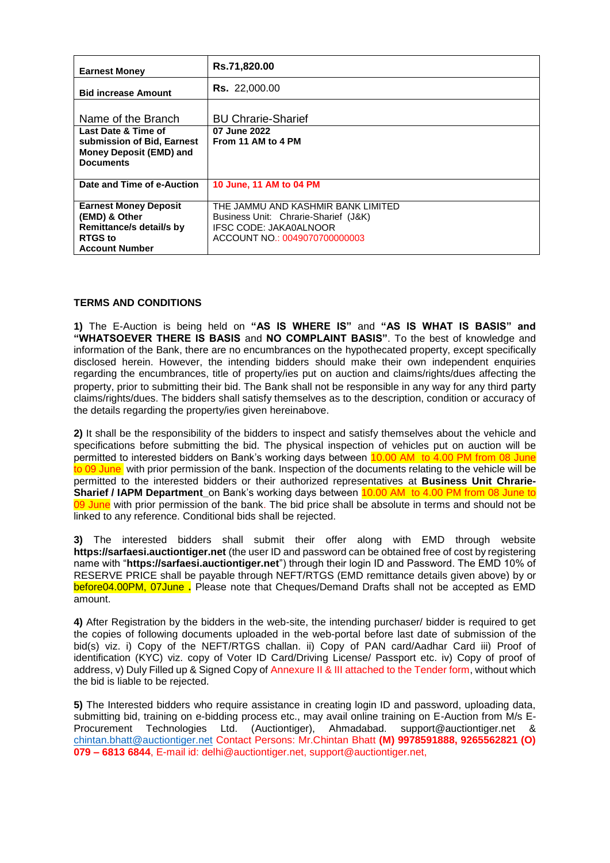| <b>Earnest Money</b>                                                                                                 | Rs.71,820.00                                                                                                                          |  |  |
|----------------------------------------------------------------------------------------------------------------------|---------------------------------------------------------------------------------------------------------------------------------------|--|--|
| <b>Bid increase Amount</b>                                                                                           | <b>Rs.</b> 22,000.00                                                                                                                  |  |  |
| Name of the Branch                                                                                                   | <b>BU Chrarie-Sharief</b>                                                                                                             |  |  |
| Last Date & Time of<br>submission of Bid, Earnest<br>Money Deposit (EMD) and<br><b>Documents</b>                     | 07 June 2022<br>From 11 AM to 4 PM                                                                                                    |  |  |
| Date and Time of e-Auction                                                                                           | 10 June, 11 AM to 04 PM                                                                                                               |  |  |
| <b>Earnest Money Deposit</b><br>(EMD) & Other<br>Remittance/s detail/s by<br><b>RTGS</b> to<br><b>Account Number</b> | THE JAMMU AND KASHMIR BANK LIMITED<br>Business Unit: Chrarie-Sharief (J&K)<br>IFSC CODE: JAKA0ALNOOR<br>ACCOUNT NO : 0049070700000003 |  |  |

## **TERMS AND CONDITIONS**

**1)** The E-Auction is being held on **"AS IS WHERE IS"** and **"AS IS WHAT IS BASIS" and "WHATSOEVER THERE IS BASIS** and **NO COMPLAINT BASIS"**. To the best of knowledge and information of the Bank, there are no encumbrances on the hypothecated property, except specifically disclosed herein. However, the intending bidders should make their own independent enquiries regarding the encumbrances, title of property/ies put on auction and claims/rights/dues affecting the property, prior to submitting their bid. The Bank shall not be responsible in any way for any third party claims/rights/dues. The bidders shall satisfy themselves as to the description, condition or accuracy of the details regarding the property/ies given hereinabove.

**2)** It shall be the responsibility of the bidders to inspect and satisfy themselves about the vehicle and specifications before submitting the bid. The physical inspection of vehicles put on auction will be permitted to interested bidders on Bank's working days between 10.00 AM to 4.00 PM from 08 June to 09 June, with prior permission of the bank. Inspection of the documents relating to the vehicle will be permitted to the interested bidders or their authorized representatives at **Business Unit Chrarie-Sharief / IAPM Department** on Bank's working days between 10.00 AM to 4.00 PM from 08 June to 09 June with prior permission of the bank. The bid price shall be absolute in terms and should not be linked to any reference. Conditional bids shall be rejected.

**3)** The interested bidders shall submit their offer along with EMD through website **https://sarfaesi.auctiontiger.net** (the user ID and password can be obtained free of cost by registering name with "**https://sarfaesi.auctiontiger.net**") through their login ID and Password. The EMD 10% of RESERVE PRICE shall be payable through NEFT/RTGS (EMD remittance details given above) by or before04.00PM, 07June **.** Please note that Cheques/Demand Drafts shall not be accepted as EMD amount.

**4)** After Registration by the bidders in the web-site, the intending purchaser/ bidder is required to get the copies of following documents uploaded in the web-portal before last date of submission of the bid(s) viz. i) Copy of the NEFT/RTGS challan. ii) Copy of PAN card/Aadhar Card iii) Proof of identification (KYC) viz. copy of Voter ID Card/Driving License/ Passport etc. iv) Copy of proof of address, v) Duly Filled up & Signed Copy of Annexure II & III attached to the Tender form, without which the bid is liable to be rejected.

**5)** The Interested bidders who require assistance in creating login ID and password, uploading data, submitting bid, training on e-bidding process etc., may avail online training on E-Auction from M/s E-Procurement Technologies Ltd. (Auctiontiger), Ahmadabad. support@auctiontiger.net & [chintan.bhatt@auctiontiger.net](mailto:chintan.bhatt@auctiontiger.net) Contact Persons: Mr.Chintan Bhatt **(M) 9978591888, 9265562821 (O) 079 – 6813 6844**, E-mail id: delhi@auctiontiger.net, support@auctiontiger.net,